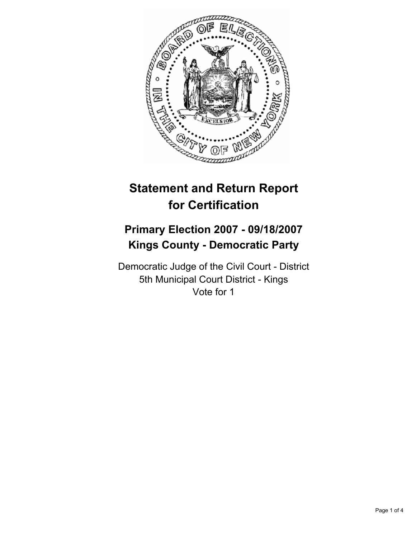

# **Statement and Return Report for Certification**

# **Primary Election 2007 - 09/18/2007 Kings County - Democratic Party**

Democratic Judge of the Civil Court - District 5th Municipal Court District - Kings Vote for 1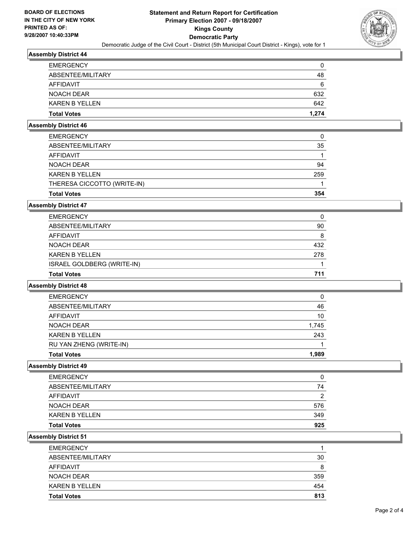

# **Assembly District 44**

| <b>Total Votes</b>    | 1,274 |
|-----------------------|-------|
| <b>KAREN B YELLEN</b> | 642   |
| NOACH DEAR            | 632   |
| AFFIDAVIT             | 6     |
| ABSENTEE/MILITARY     | 48    |
| <b>EMERGENCY</b>      | C     |

# **Assembly District 46**

| <b>Total Votes</b>          | 354 |
|-----------------------------|-----|
| THERESA CICCOTTO (WRITE-IN) |     |
| <b>KAREN B YELLEN</b>       | 259 |
| NOACH DEAR                  | 94  |
| AFFIDAVIT                   |     |
| ABSENTEE/MILITARY           | 35  |
| <b>EMERGENCY</b>            |     |

## **Assembly District 47**

| <b>EMERGENCY</b>           |     |
|----------------------------|-----|
| ABSENTEE/MILITARY          | 90  |
| AFFIDAVIT                  | 8   |
| NOACH DEAR                 | 432 |
| <b>KAREN B YELLEN</b>      | 278 |
| ISRAEL GOLDBERG (WRITE-IN) |     |
| <b>Total Votes</b>         | 711 |
|                            |     |

#### **Assembly District 48**

| <b>Total Votes</b>      | 1.989 |
|-------------------------|-------|
| RU YAN ZHENG (WRITE-IN) |       |
| <b>KAREN B YELLEN</b>   | 243   |
| <b>NOACH DEAR</b>       | 1,745 |
| <b>AFFIDAVIT</b>        | 10    |
| ABSENTEE/MILITARY       | 46    |
| <b>EMERGENCY</b>        | 0     |

#### **Assembly District 49**

| <b>EMERGENCY</b>      |     |
|-----------------------|-----|
| ABSENTEE/MILITARY     | 74  |
| AFFIDAVIT             | ≏   |
| NOACH DEAR            | 576 |
| <b>KAREN B YELLEN</b> | 349 |
| <b>Total Votes</b>    | 925 |

**Assembly District 51**

| 30<br>8 |
|---------|
| 359     |
| 454     |
| 813     |
|         |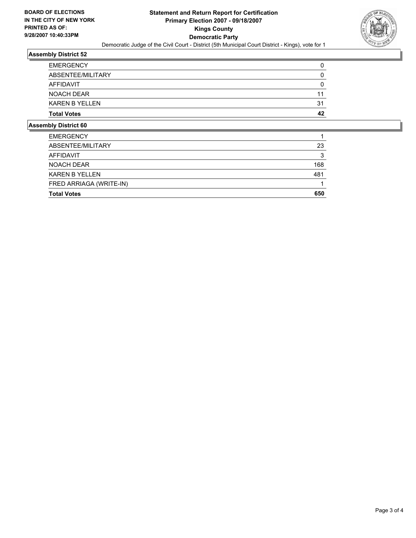

#### **Assembly District 52**

| mbly Dietriet CO      |    |
|-----------------------|----|
| <b>Total Votes</b>    | 42 |
| <b>KAREN B YELLEN</b> | 31 |
| <b>NOACH DEAR</b>     | 11 |
| AFFIDAVIT             |    |
| ABSENTEE/MILITARY     |    |
| <b>EMERGENCY</b>      |    |

#### **Assembly District 60**

| <b>EMERGENCY</b>        |     |
|-------------------------|-----|
| ABSENTEE/MILITARY       | 23  |
| AFFIDAVIT               |     |
| NOACH DEAR              | 168 |
| <b>KAREN B YELLEN</b>   | 481 |
| FRED ARRIAGA (WRITE-IN) |     |
| <b>Total Votes</b>      | 650 |